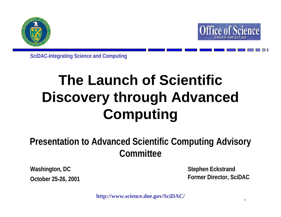



**SciDAC-Integrating Science and Computing**

# **The Launch of Scientific Discovery through Advanced Computing**

## **Presentation to Advanced Scientific Computing Advisory Committee**

**Washington, DC October 25-26, 2001** **Stephen Eckstrand Former Director, SciDAC**

**1**

**http://www.science.doe.gov/SciDAC/**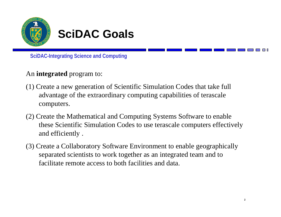

## **SciDAC Goals**

**SciDAC-Integrating Science and Computing**

### An **integrated** program to:

- (1) Create a new generation of Scientific Simulation Codes that take full advantage of the extraordinary computing capabilities of terascale computers.
- (2) Create the Mathematical and Computing Systems Software to enable these Scientific Simulation Codes to use terascale computers effectively and efficiently .
- (3) Create a Collaboratory Software Environment to enable geographically separated scientists to work together as an integrated team and to facilitate remote access to both facilities and data.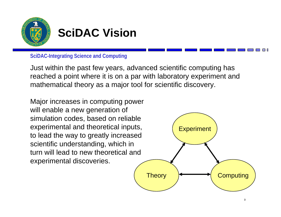

## **SciDAC Vision**

**SciDAC-Integrating Science and Computing**

Just within the past few years, advanced scientific computing has reached a point where it is on a par with laboratory experiment and mathematical theory as a major tool for scientific discovery.

Major increases in computing power will enable a new generation of simulation codes, based on reliable experimental and theoretical inputs, to lead the way to greatly increased scientific understanding, which in turn will lead to new theoretical and experimental discoveries.

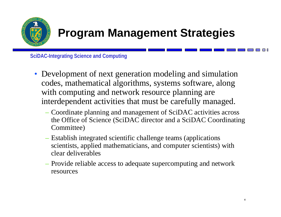

## **Program Management Strategies**

- Development of next generation modeling and simulation codes, mathematical algorithms, systems software, along with computing and network resource planning are interdependent activities that must be carefully managed.
	- Coordinate planning and management of SciDAC activities across the Office of Science (SciDAC director and a SciDAC Coordinating Committee)
	- Establish integrated scientific challenge teams (applications scientists, applied mathematicians, and computer scientists) with clear deliverables
	- Provide reliable access to adequate supercomputing and network resources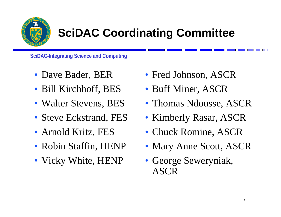

## **SciDAC Coordinating Committee**

- Dave Bader, BER
- Bill Kirchhoff, BES
- Walter Stevens, BES
- Steve Eckstrand, FES
- Arnold Kritz, FES
- Robin Staffin, HENP
- Vicky White, HENP
- Fred Johnson, ASCR
- Buff Miner, ASCR
- Thomas Ndousse, ASCR
- Kimberly Rasar, ASCR
- Chuck Romine, ASCR
- Mary Anne Scott, ASCR
- George Seweryniak, ASCR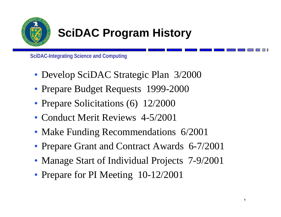

# **SciDAC Program History**

- Develop SciDAC Strategic Plan 3/2000
- Prepare Budget Requests 1999-2000
- Prepare Solicitations (6) 12/2000
- Conduct Merit Reviews 4-5/2001
- Make Funding Recommendations 6/2001
- Prepare Grant and Contract Awards 6-7/2001
- Manage Start of Individual Projects 7-9/2001
- Prepare for PI Meeting 10-12/2001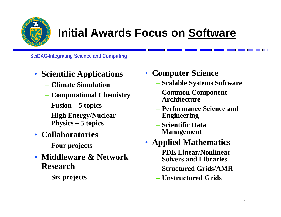

## **Initial Awards Focus on Software**

- **Scientific Applications**
	- **Climate Simulation**
	- **Computational Chemistry**
	- **Fusion – 5 topics**
	- **High Energy/Nuclear Physics – 5 topics**
- **Collaboratories**
	- **Four projects**
- **Middleware & Network Research**
	- **Six projects**
- • **Computer Science**
	- **Scalable Systems Software**
	- **Common Component Architecture**
	- **Performance Science and Engineering**
	- **Scientific Data Management**
- **Applied Mathematics**
	- **PDE Linear/Nonlinear Solvers and Libraries**
	- **Structured Grids/AMR**
	- **Unstructured Grids**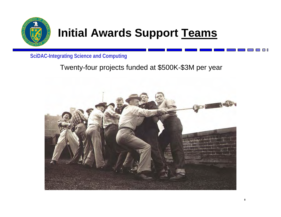

## **Initial Awards Support Teams**

**SciDAC-Integrating Science and Computing**

## Twenty-four projects funded at \$500K-\$3M per year

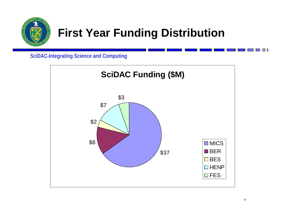

## **First Year Funding Distribution**

**SciDAC-Integrating Science and Computing**



**The Co**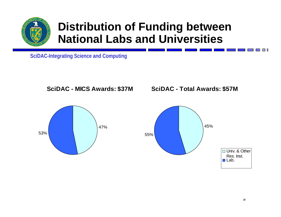

## **Distribution of Funding between National Labs and Universities**

**SciDAC-Integrating Science and Computing**









**The Contract**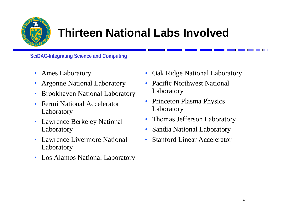

## **Thirteen National Labs Involved**

- Ames Laboratory
- Argonne National Laboratory
- $\bullet$ Brookhaven National Laboratory
- $\bullet$  Fermi National Accelerator Laboratory
- Lawrence Berkeley National Laboratory
- Lawrence Livermore National Laboratory
- Los Alamos National Laboratory
- $\bullet$ Oak Ridge National Laboratory
- Pacific Northwest National Laboratory
- Princeton Plasma Physics Laboratory
- $\bullet$ Thomas Jefferson Laboratory
- •Sandia National Laboratory
- •Stanford Linear Accelerator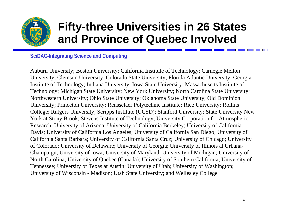

## **Fifty-three Universities in 26 States and Province of Quebec Involved**

#### **SciDAC-Integrating Science and Computing**

Auburn University; Boston University; California Institute of Technology; Carnegie Mellon University; Clemson University; Colorado State University; Florida Atlantic University; Georgia Institute of Technology; Indiana University; Iowa State University; Massachusetts Institute of Technology; Michigan State University; New York University; North Carolina State University; Northwestern University; Ohio State University; Oklahoma State University; Old Dominion University; Princeton University; Rensselaer Polytechnic Institute; Rice University; Rollins College; Rutgers University; Scripps Institute (UCSD); Stanford University; State University New York at Stony Brook; Stevens Institute of Technology; University Corporation for Atmospheric Research; University of Arizona; University of California Berkeley; University of California Davis; University of California Los Angeles; University of California San Diego; University of California Santa Barbara; University of California Santa Cruz; University of Chicago; University of Colorado; University of Delaware; University of Georgia; University of Illinois at Urbana-Champaign; University of Iowa; University of Maryland; University of Michigan; University of North Carolina; University of Quebec (Canada); University of Southern California; University of Tennessee; University of Texas at Austin; University of Utah; University of Washington; University of Wisconsin - Madison; Utah State University; and Wellesley College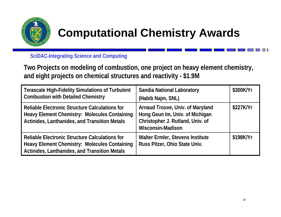

# **Computational Chemistry Awards**

**SciDAC-Integrating Science and Computing**

**Two Projects on modeling of combustion, one project on heavy element chemistry, and eight projects on chemical structures and reactivity - \$1.9M**

| <b>Terascale High-Fidelity Simulations of Turbulent</b><br><b>Combustion with Detailed Chemistry</b>                                                           | <b>Sandia National Laboratory</b><br>(Habib Najm, SNL)                                                                              | \$300K/Yr |
|----------------------------------------------------------------------------------------------------------------------------------------------------------------|-------------------------------------------------------------------------------------------------------------------------------------|-----------|
| Reliable Electronic Structure Calculations for<br><b>Heavy Element Chemistry: Molecules Containing</b><br><b>Actinides, Lanthanides, and Transition Metals</b> | Arnaud Trouve, Univ. of Maryland<br>Hong Geun Im, Univ. of Michigan<br>Christopher J. Rutland, Univ. of<br><b>Wisconsin-Madison</b> | \$227K/Yr |
| Reliable Electronic Structure Calculations for<br>Heavy Element Chemistry: Molecules Containing<br>Actinides, Lanthanides, and Transition Metals               | <b>Walter Ermler, Stevens Institute</b><br>Russ Pitzer, Ohio State Univ.                                                            | \$198K/Yr |

**College**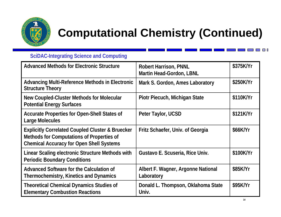

# **Computational Chemistry (Continued)**

### **SciDAC-Integrating Science and Computing**

| <b>Advanced Methods for Electronic Structure</b><br><b>Robert Harrison, PNNL</b><br><b>Martin Head-Gordon, LBNL</b>                                         |                                                  | \$375K/Yr |
|-------------------------------------------------------------------------------------------------------------------------------------------------------------|--------------------------------------------------|-----------|
| Advancing Multi-Reference Methods in Electronic<br><b>Structure Theory</b>                                                                                  | Mark S. Gordon, Ames Laboratory                  | \$250K/Yr |
| New Coupled-Cluster Methods for Molecular<br><b>Potential Energy Surfaces</b>                                                                               | Piotr Piecuch, Michigan State                    | \$110K/Yr |
| <b>Accurate Properties for Open-Shell States of</b><br><b>Large Molecules</b>                                                                               | Peter Taylor, UCSD                               | \$121K/Yr |
| <b>Explicitly Correlated Coupled Cluster &amp; Bruecker</b><br>Methods for Computations of Properties of<br><b>Chemical Accuracy for Open Shell Systems</b> | Fritz Schaefer, Univ. of Georgia                 | \$66K/Yr  |
| Linear Scaling electronic Structure Methods with<br><b>Periodic Boundary Conditions</b>                                                                     | Gustavo E. Scuseria, Rice Univ.                  | \$100K/Yr |
| Advanced Software for the Calculation of<br><b>Thermochemistry, Kinetics and Dynamics</b>                                                                   | Albert F. Wagner, Argonne National<br>Laboratory | \$85K/Yr  |
| <b>Theoretical Chemical Dynamics Studies of</b><br><b>Elementary Combustion Reactions</b>                                                                   | Donald L. Thompson, Oklahoma State<br>Univ.      | \$95K/Yr  |

**The State**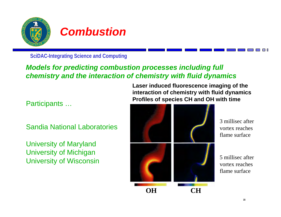

**SciDAC-Integrating Science and Computing**

### *Models for predicting combustion processes including full chemistry and the interaction of chemistry with fluid dynamics*

Participants …

Sandia National Laboratories

University of Maryland University of Michigan University of Wisconsin **Laser induced fluorescence imaging of the interaction of chemistry with fluid dynamics Profiles of species CH and OH with time**



3 millisec after vortex reaches flame surface

5 millisec after vortex reaches flame surface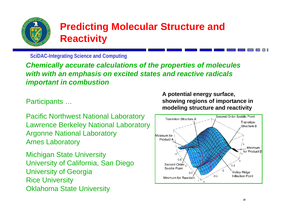

## **Predicting Molecular Structure and Reactivity**

**SciDAC-Integrating Science and Computing**

*Chemically accurate calculations of the properties of molecules with with an emphasis on excited states and reactive radicals important in combustion*

Participants …

Pacific Northwest National Laboratory Lawrence Berkeley National Laboratory Argonne National Laboratory Ames Laboratory

Michigan State University University of California, San Diego University of Georgia Rice University Oklahoma State University

**A potential energy surface, showing regions of importance in modeling structure and reactivity** 

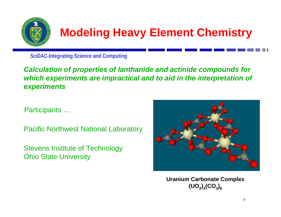

## **Modeling Heavy Element Chemistry**

**SciDAC-Integrating Science and Computing**

*Calculation of properties of lanthanide and actinide compounds for which experiments are impractical and to aid in the interpretation of experiments*

Participants …

Pacific Northwest National Laboratory

Stevens Institute of Technology Ohio State University



**Uranium Carbonate Complex**  $(UO_2)_3(CO_3)_6$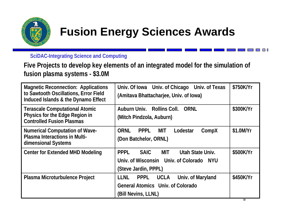

## **Fusion Energy Sciences Awards**

**SciDAC-Integrating Science and Computing**

**Five Projects to develop key elements of an integrated model for the simulation of fusion plasma systems - \$3.0M**

| <b>Magnetic Reconnection: Applications</b><br>to Sawtooth Oscillations, Error Field<br>Induced Islands & the Dynamo Effect | Univ. Of Iowa Univ. of Chicago Univ. of Texas<br>(Amitava Bhattacharjee, Univ. of Iowa)                                           | \$750K/Yr |
|----------------------------------------------------------------------------------------------------------------------------|-----------------------------------------------------------------------------------------------------------------------------------|-----------|
| <b>Terascale Computational Atomic</b><br>Physics for the Edge Region in<br><b>Controlled Fusion Plasmas</b>                | Auburn Univ. Rollins Coll.<br>ORNL<br>(Mitch Pindzola, Auburn)                                                                    | \$300K/Yr |
| <b>Numerical Computation of Wave-</b><br><b>Plasma Interactions in Multi-</b><br>dimensional Systems                       | <b>ORNL</b><br><b>PPPL</b><br>MIT<br>Lodestar<br>CompX<br>(Don Batchelor, ORNL)                                                   | \$1.0M/Yr |
| <b>Center for Extended MHD Modeling</b>                                                                                    | <b>PPPL</b><br><b>SAIC</b><br><b>MIT</b><br>Utah State Univ.<br>Univ. of Wisconsin Univ. of Colorado NYU<br>(Steve Jardin, PPPL)  | \$500K/Yr |
| Plasma Microturbulence Project                                                                                             | <b>LLNL</b><br><b>UCLA</b><br>Univ. of Maryland<br><b>PPPL</b><br><b>General Atomics Univ. of Colorado</b><br>(Bill Nevins, LLNL) | \$450K/Yr |

**The Co**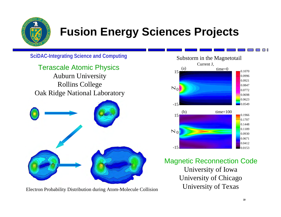

## **Fusion Energy Sciences Projects**

**SciDAC-Integrating Science and Computing**

Terascale Atomic Physics Auburn University Rollins College Oak Ridge National Laboratory



University of Texas Electron Probability Distribution during Atom-Molecule Collision



Magnetic Reconnection Code University of Iowa University of Chicago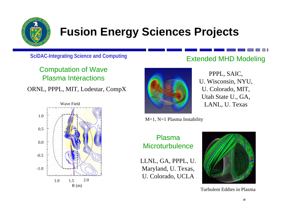

## **Fusion Energy Sciences Projects**

**SciDAC-Integrating Science and Computing**

Computation of Wave Plasma Interactions

ORNL, PPPL, MIT, Lodestar, CompX





Extended MHD Modeling

T I T

PPPL, SAIC, U. Wisconsin, NYU, U. Colorado, MIT, Utah State U., GA, LANL, U. Texas

M=1, N=1 Plasma Instability

### Plasma **Microturbulence**

LLNL, GA, PPPL, U. Maryland, U. Texas, U. Colorado, UCLA



Turbulent Eddies in Plasma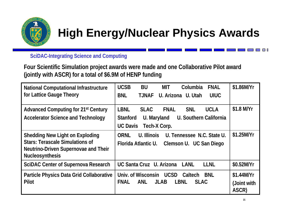

## **High Energy/Nuclear Physics Awards**

**SciDAC-Integrating Science and Computing**

**Four Scientific Simulation project awards were made and one Collaborative Pilot award (jointly with ASCR) for a total of \$6.9M of HENP funding**

| <b>National Computational Infrastructure</b>                   | <b>UCSB</b><br><b>BU</b><br><b>FNAL</b><br><b>MIT</b><br>Columbia      | \$1.86M/Yr  |
|----------------------------------------------------------------|------------------------------------------------------------------------|-------------|
| for Lattice Gauge Theory                                       | <b>BNL</b><br><b>TJNAF</b><br>U. Arizona U. Utah<br><b>UIUC</b>        |             |
|                                                                |                                                                        |             |
| <b>Advanced Computing for 21st Century</b>                     | <b>LBNL</b><br><b>FNAL</b><br><b>SNL</b><br><b>UCLA</b><br><b>SLAC</b> | \$1.8 M/Yr  |
| <b>Accelerator Science and Technology</b>                      | <b>Stanford</b><br>U. Southern California<br>U. Maryland               |             |
|                                                                | <b>UC Davis</b><br>Tech-X Corp.                                        |             |
| <b>Shedding New Light on Exploding</b>                         | <b>ORNL</b><br>U. Illinois<br>U. Tennessee N.C. State U.               | \$1.25M/Yr  |
| <b>Stars: Terascale Simulations of</b>                         | Florida Atlantic U.<br>Clemson U. UC San Diego                         |             |
| Neutrino-Driven Supernovae and Their<br><b>Nucleosynthesis</b> |                                                                        |             |
|                                                                |                                                                        |             |
| <b>SciDAC Center of Supernova Research</b>                     | UC Santa Cruz U. Arizona<br>LANL<br><b>LLNL</b>                        | \$0.52M/Yr  |
| Particle Physics Data Grid Collaborative                       | Univ. of Wisconsin UCSD Caltech<br>BNL                                 | \$1.44M/Yr  |
| Pilot                                                          | <b>FNAL</b><br><b>JLAB</b><br><b>LBNL</b><br><b>ANL</b><br><b>SLAC</b> | (Joint with |
|                                                                |                                                                        | ASCR)       |

**The Contract**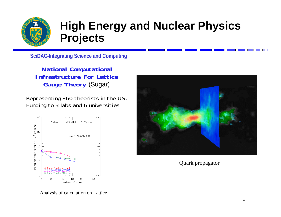

**SciDAC-Integrating Science and Computing**

**National Computational Infrastructure For Lattice Gauge Theory** (Sugar)

Representing ~60 theorists in the US. Funding to 3 labs and 6 universities





Quark propagator

Analysis of calculation on Lattice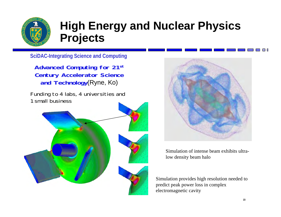

**SciDAC-Integrating Science and Computing**

**Advanced Computing for 21st Century Accelerator Science and Technology**(Ryne, Ko)

Funding to 4 labs, 4 universities and 1 small business





Simulation of intense beam exhibits ultralow density beam halo

Simulation provides high resolution needed to predict peak power loss in complex electromagnetic cavity

**Contract Contract**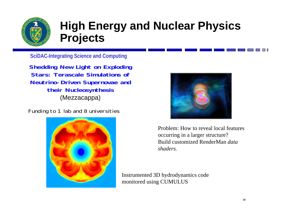

**SciDAC-Integrating Science and Computing**

**Shedding New Light on Exploding Stars: Terascale Simulations of Neutrino-Driven Supernovae and their Nucleosynthesis**  (Mezzacappa)

Funding to 1 lab and 8 universities





Problem: How to reveal local features occurring in a larger structure? Build customized RenderMan *data shaders.*

Instrumented 3D hydrodynamics code monitored using CUMULUS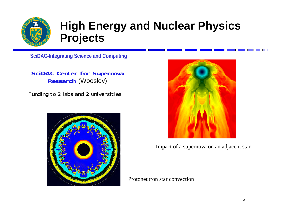

**SciDAC-Integrating Science and Computing**

**SciDAC Center for Supernova Research** (Woosley)

Funding to 2 labs and 2 universities





Impact of a supernova on an adjacent star

Protoneutron star convection

**Contract Contract**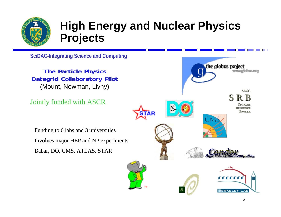

**SciDAC-Integrating Science and Computing**

**The Particle Physics Datagrid Collaboratory Pilot**  (Mount, Newman, Livny)

Jointly funded with ASCR

Funding to 6 labs and 3 universities Involves major HEP and NP experiments Babar, DO, CMS, ATLAS, STAR

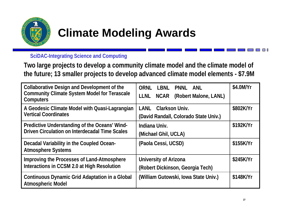

### **SciDAC-Integrating Science and Computing**

**Two large projects to develop a community climate model and the climate model of the future; 13 smaller projects to develop advanced climate model elements - \$7.9M**

| <b>Collaborative Design and Development of the</b><br><b>Community Climate System Model for Terascale</b><br><b>Computers</b> | <b>ORNL</b><br>LBNL<br>PNNL ANL<br><b>LLNL</b><br><b>NCAR</b><br>(Robert Malone, LANL) | \$4.0M/Yr |
|-------------------------------------------------------------------------------------------------------------------------------|----------------------------------------------------------------------------------------|-----------|
| A Geodesic Climate Model with Quasi-Lagrangian<br><b>Vertical Coordinates</b>                                                 | <b>Clarkson Univ.</b><br>LANL<br>(David Randall, Colorado State Univ.)                 | \$802K/Yr |
| Predictive Understanding of the Oceans' Wind-<br><b>Driven Circulation on Interdecadal Time Scales</b>                        | Indiana Univ.<br>(Michael Ghil, UCLA)                                                  | \$192K/Yr |
| Decadal Variability in the Coupled Ocean-<br><b>Atmosphere Systems</b>                                                        | (Paola Cessi, UCSD)                                                                    | \$155K/Yr |
| Improving the Processes of Land-Atmosphere<br>Interactions in CCSM 2.0 at High Resolution                                     | <b>University of Arizona</b><br>(Robert Dickinson, Georgia Tech)                       | \$245K/Yr |
| <b>Continuous Dynamic Grid Adaptation in a Global</b><br><b>Atmospheric Model</b>                                             | (William Gutowski, Iowa State Univ.)                                                   | \$148K/Yr |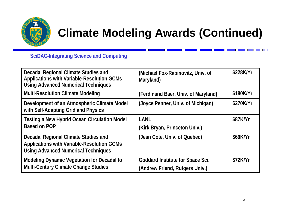

## **Climate Modeling Awards (Continued)**

**SciDAC-Integrating Science and Computing**

| Decadal Regional Climate Studies and<br><b>Applications with Variable-Resolution GCMs</b><br><b>Using Advanced Numerical Techniques</b> | (Michael Fox-Rabinovitz, Univ. of<br>Maryland)                            | \$228K/Yr |
|-----------------------------------------------------------------------------------------------------------------------------------------|---------------------------------------------------------------------------|-----------|
| <b>Multi-Resolution Climate Modeling</b>                                                                                                | (Ferdinand Baer, Univ. of Maryland)                                       | \$180K/Yr |
| Development of an Atmospheric Climate Model<br>with Self-Adapting Grid and Physics                                                      | (Joyce Penner, Univ. of Michigan)                                         | \$270K/Yr |
| <b>Testing a New Hybrid Ocean Circulation Model</b><br><b>Based on POP</b>                                                              | LANL<br>(Kirk Bryan, Princeton Univ.)                                     | \$87K/Yr  |
| Decadal Regional Climate Studies and<br><b>Applications with Variable-Resolution GCMs</b><br><b>Using Advanced Numerical Techniques</b> | (Jean Cote, Univ. of Quebec)                                              | \$69K/Yr  |
| <b>Modeling Dynamic Vegetation for Decadal to</b><br>Multi-Century Climate Change Studies                                               | <b>Goddard Institute for Space Sci.</b><br>(Andrew Friend, Rutgers Univ.) | \$72K/Yr  |

 $\blacksquare$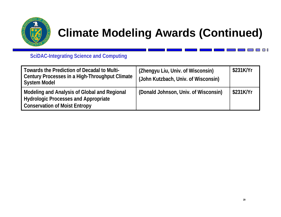

## **Climate Modeling Awards (Continued)**

**SciDAC-Integrating Science and Computing**

| Towards the Prediction of Decadal to Multi-<br>Century Processes in a High-Throughput Climate<br><b>System Model</b>                | (Zhengyu Liu, Univ. of Wisconsin)<br>(John Kutzbach, Univ. of Wisconsin) | \$231K/Yr |
|-------------------------------------------------------------------------------------------------------------------------------------|--------------------------------------------------------------------------|-----------|
| Modeling and Analysis of Global and Regional<br><b>Hydrologic Processes and Appropriate</b><br><b>Conservation of Moist Entropy</b> | (Donald Johnson, Univ. of Wisconsin)                                     | \$231K/Yr |

 $\blacksquare$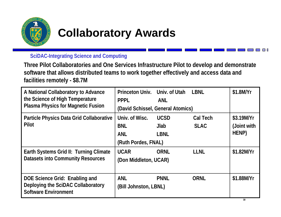

## **Collaboratory Awards**

**SciDAC-Integrating Science and Computing**

**Three Pilot Collaboratories and One Services Infrastructure Pilot to develop and demonstrate software that allows distributed teams to work together effectively and access data and facilities remotely - \$8.7M**

| A National Collaboratory to Advance<br>the Science of High Temperature<br><b>Plasma Physics for Magnetic Fusion</b> | Princeton Univ. Univ. of Utah<br><b>PPPL</b><br>(David Schissel, General Atomics) | <b>ANL</b>                          | LBNL                           | \$1.8M/Yr                          |
|---------------------------------------------------------------------------------------------------------------------|-----------------------------------------------------------------------------------|-------------------------------------|--------------------------------|------------------------------------|
| Particle Physics Data Grid Collaborative<br>Pilot                                                                   | Univ. of Wisc.<br><b>BNL</b><br><b>ANL</b><br>(Ruth Pordes, FNAL)                 | <b>UCSD</b><br>Jlab.<br><b>LBNL</b> | <b>Cal Tech</b><br><b>SLAC</b> | \$3.19M/Yr<br>(Joint with<br>HENP) |
| Earth Systems Grid II: Turning Climate<br><b>Datasets into Community Resources</b>                                  | <b>UCAR</b><br>(Don Middleton, UCAR)                                              | <b>ORNL</b>                         | <b>LLNL</b>                    | \$1.82M/Yr                         |
| DOE Science Grid: Enabling and<br>Deploying the SciDAC Collaboratory<br><b>Software Environment</b>                 | <b>ANL</b><br>(Bill Johnston, LBNL)                                               | <b>PNNL</b>                         | <b>ORNL</b>                    | \$1.88M/Yr                         |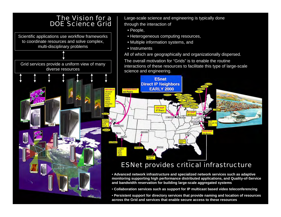

Large-scale science and engineering is typically done through the interaction of

- People,
- Heterogeneous computing resources,
- Multiple information systems, and
- Instruments

All of which are geographically and organizationally dispersed.

The overall motivation for "Grids" is to enable the routine interactions of these resources to facilitate this type of large-scale science and engineering.



### ESNet provides critical infrastructure

• **Advanced network infrastructure and specialized network services such as adaptive monitoring supporting high performance distributed applications, and Quality-of-Service and bandwidth reservation for building large-scale aggregated systems**

- **Collaboration services such as support for IP multicast based video teleconferencing**
- **Persistent support for directory services that provide naming and location of resources across the Grid and services that enable secure access to these resources**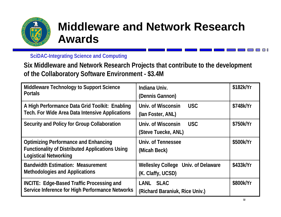

## **Middleware and Network Research Awards**

**SciDAC-Integrating Science and Computing**

**Six Middleware and Network Research Projects that contribute to the development of the Collaboratory Software Environment - \$3.4M**

| Middleware Technology to Support Science<br><b>Portals</b>                                                                            | Indiana Univ.<br>(Dennis Gannon)                         | \$182k/Yr |
|---------------------------------------------------------------------------------------------------------------------------------------|----------------------------------------------------------|-----------|
| A High Performance Data Grid Toolkit: Enabling<br><b>Tech. For Wide Area Data Intensive Applications</b>                              | Univ. of Wisconsin<br><b>USC</b><br>(lan Foster, ANL)    | \$748k/Yr |
| Security and Policy for Group Collaboration                                                                                           | Univ. of Wisconsin<br><b>USC</b><br>(Steve Tuecke, ANL)  | \$750k/Yr |
| <b>Optimizing Performance and Enhancing</b><br><b>Functionality of Distributed Applications Using</b><br><b>Logistical Networking</b> | Univ. of Tennessee<br>(Micah Beck)                       | \$500k/Yr |
| <b>Bandwidth Estimation: Measurement</b><br><b>Methodologies and Applications</b>                                                     | Wellesley College Univ. of Delaware<br>(K. Claffy, UCSD) | \$433k/Yr |
| <b>INCITE: Edge-Based Traffic Processing and</b><br>Service Inference for High Performance Networks                                   | <b>SLAC</b><br>LANL<br>(Richard Baraniuk, Rice Univ.)    | \$800k/Yr |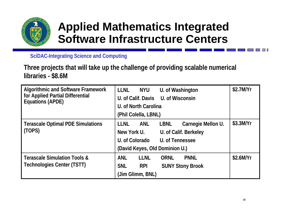

## **Applied Mathematics Integrated Software Infrastructure Centers**

**SciDAC-Integrating Science and Computing**

**Three projects that will take up the challenge of providing scalable numerical libraries - \$8.6M**

| <b>Algorithmic and Software Framework</b>                   | <b>LLNL</b><br><b>NYU</b><br>U. of Washington           | \$2.7M/Yr   |
|-------------------------------------------------------------|---------------------------------------------------------|-------------|
| for Applied Partial Differential<br><b>Equations (APDE)</b> | U. of Calif. Davis U. of Wisconsin                      |             |
|                                                             | U. of North Carolina                                    |             |
|                                                             | (Phil Colella, LBNL)                                    |             |
| <b>Terascale Optimal PDE Simulations</b><br>(TOPS)          | <b>LLNL</b><br>ANL<br><b>LBNL</b><br>Carnegie Mellon U. | $$3.3$ M/Yr |
|                                                             | New York U.<br>U. of Calif. Berkeley                    |             |
|                                                             | U. of Colorado<br>U. of Tennessee                       |             |
|                                                             | (David Keyes, Old Dominion U.)                          |             |
| <b>Terascale Simulation Tools &amp;</b>                     | <b>LLNL</b><br><b>PNNL</b><br><b>ANL</b><br><b>ORNL</b> | $$2.6$ M/Yr |
| <b>Technologies Center (TSTT)</b>                           | <b>SNL</b><br><b>RPI</b><br><b>SUNY Stony Brook</b>     |             |
|                                                             | (Jim Glimm, BNL)                                        |             |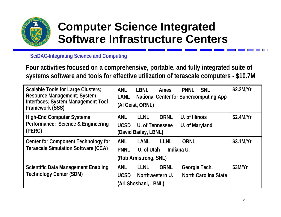

## **Computer Science Integrated Software Infrastructure Centers**

**SciDAC-Integrating Science and Computing**

**Four activities focused on a comprehensive, portable, and fully integrated suite of systems software and tools for effective utilization of terascale computers - \$10.7M**

| Scalable Tools for Large Clusters;<br><b>Resource Management; System</b><br>Interfaces; System Management Tool<br>Framework (SSS) | <b>ANL</b><br><b>LBNL</b><br><b>SNL</b><br><b>PNNL</b><br><b>Ames</b><br><b>LANL</b><br><b>National Center for Supercomputing App</b><br>(Al Geist, ORNL) | \$2.2M/Yr |
|-----------------------------------------------------------------------------------------------------------------------------------|-----------------------------------------------------------------------------------------------------------------------------------------------------------|-----------|
| <b>High-End Computer Systems</b><br>Performance: Science & Engineering<br>(PERC)                                                  | U. of Illinois<br><b>ANL</b><br><b>LLNL</b><br><b>ORNL</b><br><b>UCSD</b><br>U. of Tennessee<br>U. of Maryland<br>(David Bailey, LBNL)                    | \$2.4M/Yr |
| Center for Component Technology for<br><b>Terascale Simulation Software (CCA)</b>                                                 | <b>LLNL</b><br><b>ANL</b><br>LANL<br><b>ORNL</b><br><b>PNNL</b><br>U. of Utah<br>Indiana U.<br>(Rob Armstrong, SNL)                                       | \$3.1M/Yr |
| <b>Scientific Data Management Enabling</b><br><b>Technology Center (SDM)</b>                                                      | <b>LLNL</b><br><b>ORNL</b><br><b>ANL</b><br>Georgia Tech.<br><b>North Carolina State</b><br>Northwestern U.<br><b>UCSD</b><br>(Ari Shoshani, LBNL)        | \$3M/Yr   |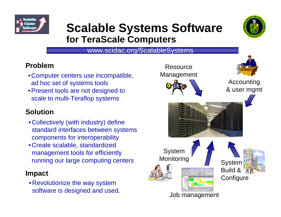

## **Scalable Systems Software for TeraScale Computers**



www.scidac.org/ScalableSystems

## **Problem**

- Computer centers use incompatible, ad hoc set of systems tools
- Present tools are not designed to scale to multi-Teraflop systems

## **Solution**

- Collectively (with industry) define standard interfaces between systems components for interoperability
- Create scalable, standardized management tools for efficiently running our large computing centers

### **Impact**

• Revolutionize the way system software is designed and used.

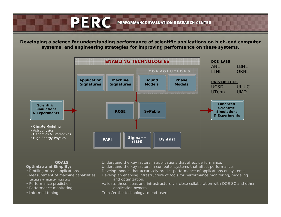PERC PERFORMANCE EVALUATION RESEARCH CENTER

**Developing a** *science* **for understanding performance of scientific applications on high-end computer systems, and** *engineering* **strategies for improving performance on these systems.** 



#### **GOALS**

- **Optimize and Simplify:**
- Profiling of real applications
- Measurement of machine capabilities (emphasis on memory hierarchy)
- Performance prediction
- Performance monitoring
- Informed tuning

Understand the key factors in applications that affect performance.

Understand the key factors in computer systems that affect performance.

- Develop models that accurately predict performance of applications on systems.
	- Develop an enabling infrastructure of tools for performance monitoring, modeling and optimization.
- Validate these ideas and infrastructure via close collaboration with DOE SC and other application owners.
- Transfer the technology to end-users.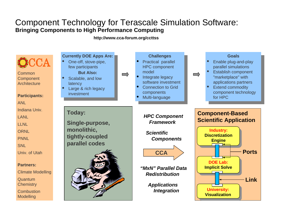### Component Technology for Terascale Simulation Software: **Bringing Components to High Performance Computing**

**http://www.cca-forum.org/ccttss**

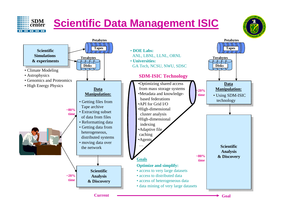# **Scientific Data Management ISIC**

**SDMcenter**